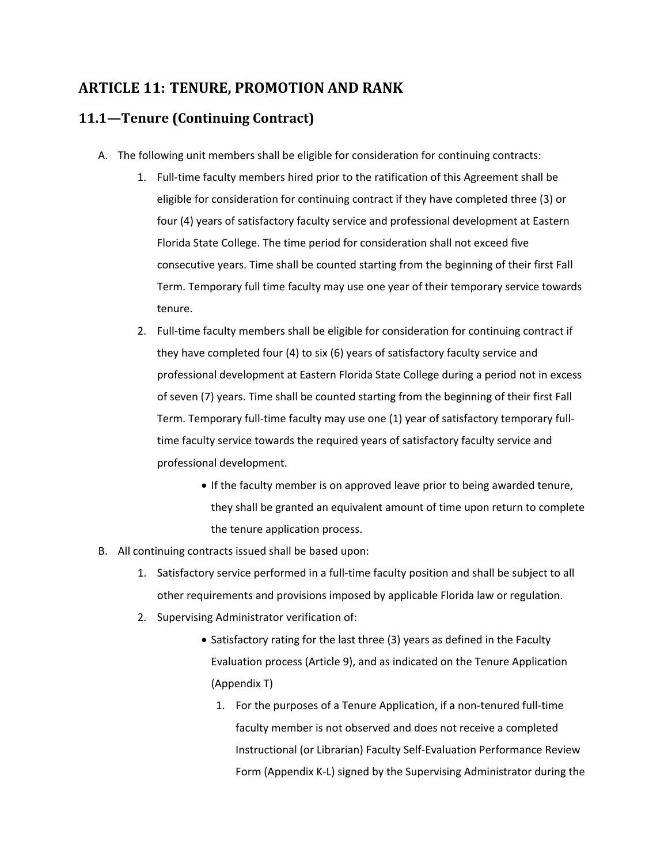# **ARTICLE 11: TENURE, PROMOTION AND RANK**

# **11.1—Tenure (Continuing Contract)**

- A. The following unit members shall be eligible for consideration for continuing contracts:
	- 1. Full-time faculty members hired prior to the ratification of this Agreement shall be eligible for consideration for continuing contract if they have completed three (3) or four (4) years of satisfactory faculty service and professional development at Eastern Florida State College. The time period for consideration shall not exceed five consecutive years. Time shall be counted starting from the beginning of their first Fall Term. Temporary full time faculty may use one year of their temporary service towards tenure.
	- 2. Full-time faculty members shall be eligible for consideration for continuing contract if they have completed four (4) to six (6) years of satisfactory faculty service and professional development at Eastern Florida State College during a period not in excess of seven (7) years. Time shall be counted starting from the beginning of their first Fall Term. Temporary full-time faculty may use one (1) year of satisfactory temporary fulltime faculty service towards the required years of satisfactory faculty service and professional development.
		- If the faculty member is on approved leave prior to being awarded tenure, they shall be granted an equivalent amount of time upon return to complete the tenure application process.
- B. All continuing contracts issued shall be based upon:
	- 1. Satisfactory service performed in a full-time faculty position and shall be subject to all other requirements and provisions imposed by applicable Florida law or regulation.
	- 2. Supervising Administrator verification of:
		- Satisfactory rating for the last three (3) years as defined in the Faculty Evaluation process (Article 9), and as indicated on the Tenure Application (Appendix T)
			- 1. For the purposes of a Tenure Application, if a non-tenured full-time faculty member is not observed and does not receive a completed Instructional (or Librarian) Faculty Self-Evaluation Performance Review Form (Appendix K-L) signed by the Supervising Administrator during the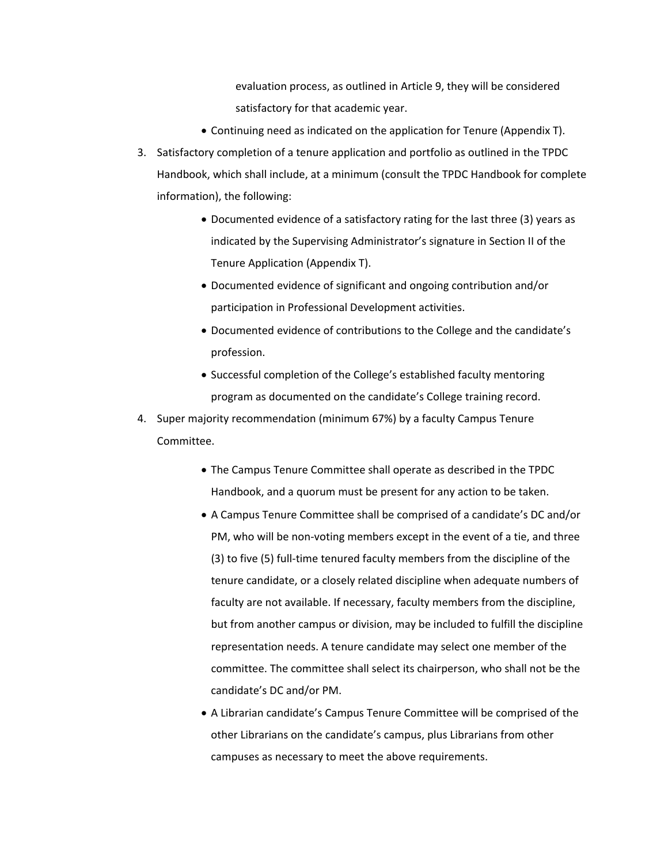evaluation process, as outlined in Article 9, they will be considered satisfactory for that academic year.

- Continuing need as indicated on the application for Tenure (Appendix T).
- 3. Satisfactory completion of a tenure application and portfolio as outlined in the TPDC Handbook, which shall include, at a minimum (consult the TPDC Handbook for complete information), the following:
	- Documented evidence of a satisfactory rating for the last three (3) years as indicated by the Supervising Administrator's signature in Section II of the Tenure Application (Appendix T).
	- Documented evidence of significant and ongoing contribution and/or participation in Professional Development activities.
	- Documented evidence of contributions to the College and the candidate's profession.
	- Successful completion of the College's established faculty mentoring program as documented on the candidate's College training record.
- 4. Super majority recommendation (minimum 67%) by a faculty Campus Tenure Committee.
	- The Campus Tenure Committee shall operate as described in the TPDC Handbook, and a quorum must be present for any action to be taken.
	- A Campus Tenure Committee shall be comprised of a candidate's DC and/or PM, who will be non-voting members except in the event of a tie, and three (3) to five (5) full-time tenured faculty members from the discipline of the tenure candidate, or a closely related discipline when adequate numbers of faculty are not available. If necessary, faculty members from the discipline, but from another campus or division, may be included to fulfill the discipline representation needs. A tenure candidate may select one member of the committee. The committee shall select its chairperson, who shall not be the candidate's DC and/or PM.
	- A Librarian candidate's Campus Tenure Committee will be comprised of the other Librarians on the candidate's campus, plus Librarians from other campuses as necessary to meet the above requirements.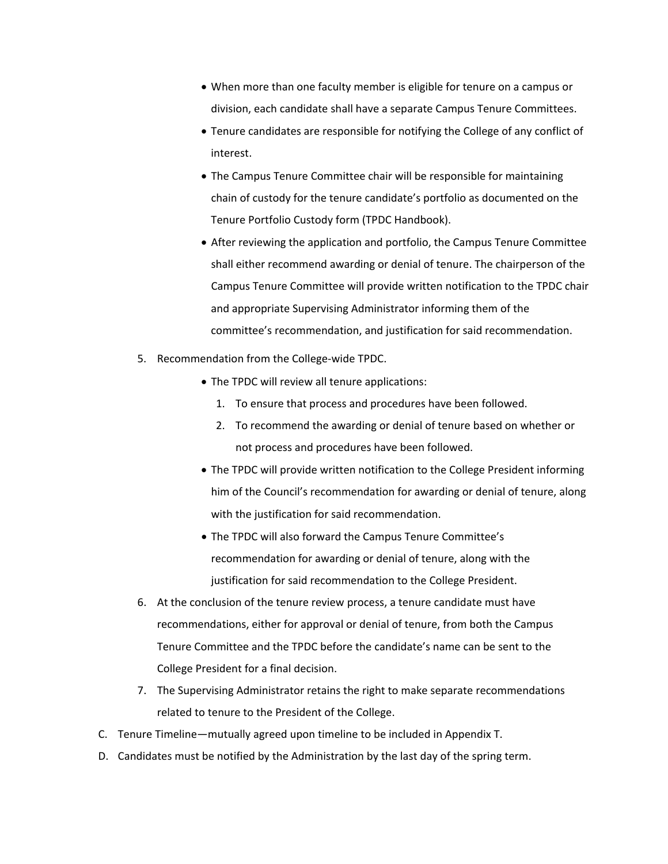- When more than one faculty member is eligible for tenure on a campus or division, each candidate shall have a separate Campus Tenure Committees.
- Tenure candidates are responsible for notifying the College of any conflict of interest.
- The Campus Tenure Committee chair will be responsible for maintaining chain of custody for the tenure candidate's portfolio as documented on the Tenure Portfolio Custody form (TPDC Handbook).
- After reviewing the application and portfolio, the Campus Tenure Committee shall either recommend awarding or denial of tenure. The chairperson of the Campus Tenure Committee will provide written notification to the TPDC chair and appropriate Supervising Administrator informing them of the committee's recommendation, and justification for said recommendation.
- 5. Recommendation from the College-wide TPDC.
	- The TPDC will review all tenure applications:
		- 1. To ensure that process and procedures have been followed.
		- 2. To recommend the awarding or denial of tenure based on whether or not process and procedures have been followed.
	- The TPDC will provide written notification to the College President informing him of the Council's recommendation for awarding or denial of tenure, along with the justification for said recommendation.
	- The TPDC will also forward the Campus Tenure Committee's recommendation for awarding or denial of tenure, along with the justification for said recommendation to the College President.
- 6. At the conclusion of the tenure review process, a tenure candidate must have recommendations, either for approval or denial of tenure, from both the Campus Tenure Committee and the TPDC before the candidate's name can be sent to the College President for a final decision.
- 7. The Supervising Administrator retains the right to make separate recommendations related to tenure to the President of the College.
- C. Tenure Timeline—mutually agreed upon timeline to be included in Appendix T.
- D. Candidates must be notified by the Administration by the last day of the spring term.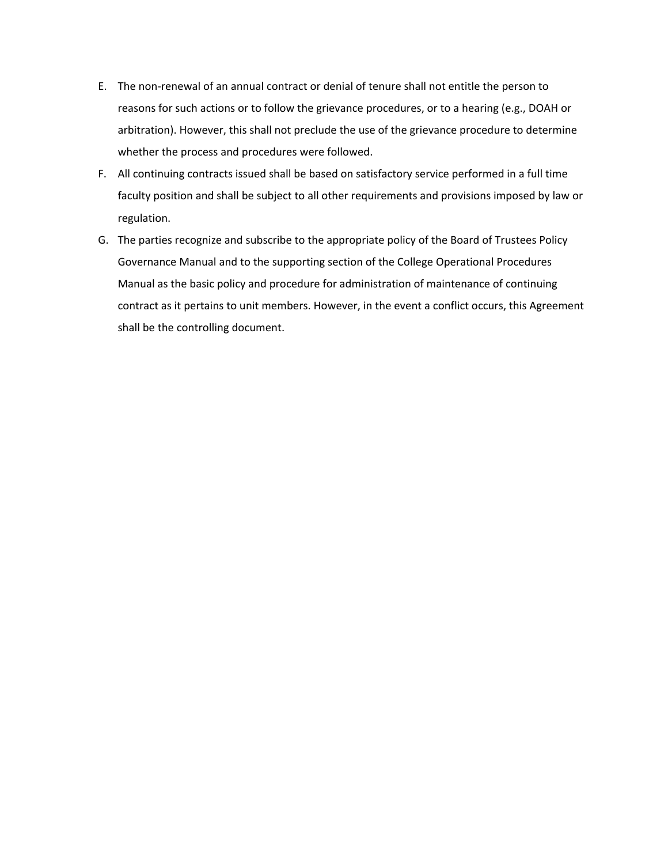- E. The non-renewal of an annual contract or denial of tenure shall not entitle the person to reasons for such actions or to follow the grievance procedures, or to a hearing (e.g., DOAH or arbitration). However, this shall not preclude the use of the grievance procedure to determine whether the process and procedures were followed.
- F. All continuing contracts issued shall be based on satisfactory service performed in a full time faculty position and shall be subject to all other requirements and provisions imposed by law or regulation.
- G. The parties recognize and subscribe to the appropriate policy of the Board of Trustees Policy Governance Manual and to the supporting section of the College Operational Procedures Manual as the basic policy and procedure for administration of maintenance of continuing contract as it pertains to unit members. However, in the event a conflict occurs, this Agreement shall be the controlling document.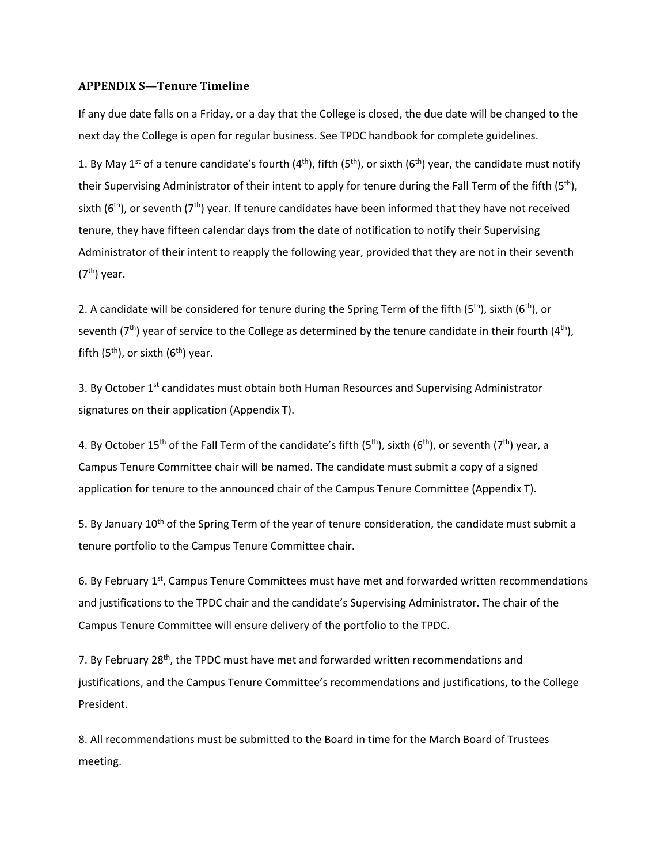#### **APPENDIX S—Tenure Timeline**

If any due date falls on a Friday, or a day that the College is closed, the due date will be changed to the next day the College is open for regular business. See TPDC handbook for complete guidelines.

1. By May 1<sup>st</sup> of a tenure candidate's fourth (4<sup>th</sup>), fifth (5<sup>th</sup>), or sixth (6<sup>th</sup>) year, the candidate must notify their Supervising Administrator of their intent to apply for tenure during the Fall Term of the fifth (5<sup>th</sup>), sixth ( $6<sup>th</sup>$ ), or seventh ( $7<sup>th</sup>$ ) year. If tenure candidates have been informed that they have not received tenure, they have fifteen calendar days from the date of notification to notify their Supervising Administrator of their intent to reapply the following year, provided that they are not in their seventh  $(7<sup>th</sup>)$  year.

2. A candidate will be considered for tenure during the Spring Term of the fifth (5<sup>th</sup>), sixth (6<sup>th</sup>), or seventh ( $7<sup>th</sup>$ ) year of service to the College as determined by the tenure candidate in their fourth ( $4<sup>th</sup>$ ), fifth  $(5<sup>th</sup>)$ , or sixth  $(6<sup>th</sup>)$  year.

3. By October 1<sup>st</sup> candidates must obtain both Human Resources and Supervising Administrator signatures on their application (Appendix T).

4. By October 15<sup>th</sup> of the Fall Term of the candidate's fifth (5<sup>th</sup>), sixth (6<sup>th</sup>), or seventh (7<sup>th</sup>) year, a Campus Tenure Committee chair will be named. The candidate must submit a copy of a signed application for tenure to the announced chair of the Campus Tenure Committee (Appendix T).

5. By January  $10<sup>th</sup>$  of the Spring Term of the year of tenure consideration, the candidate must submit a tenure portfolio to the Campus Tenure Committee chair.

6. By February 1<sup>st</sup>, Campus Tenure Committees must have met and forwarded written recommendations and justifications to the TPDC chair and the candidate's Supervising Administrator. The chair of the Campus Tenure Committee will ensure delivery of the portfolio to the TPDC.

7. By February 28<sup>th</sup>, the TPDC must have met and forwarded written recommendations and justifications, and the Campus Tenure Committee's recommendations and justifications, to the College President.

8. All recommendations must be submitted to the Board in time for the March Board of Trustees meeting.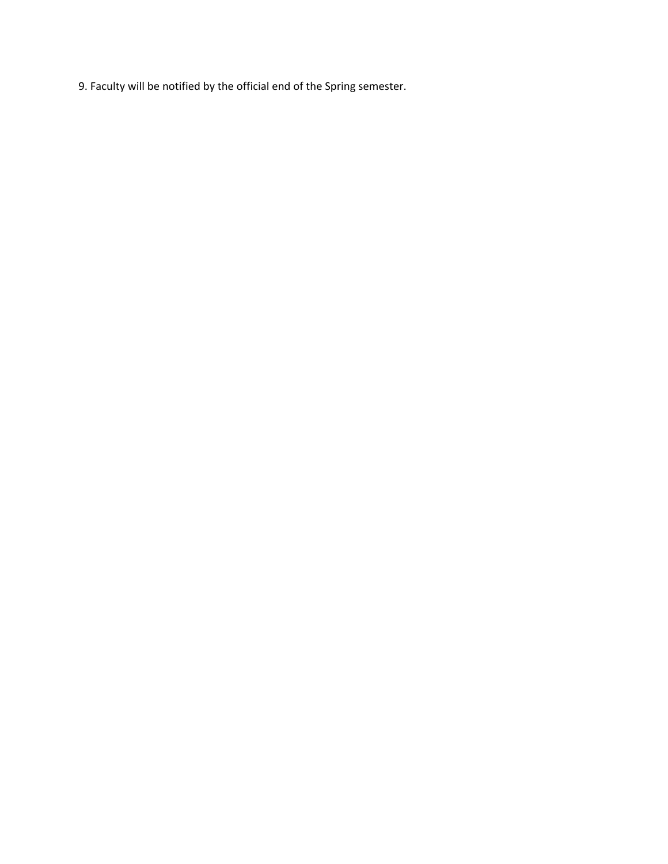9. Faculty will be notified by the official end of the Spring semester.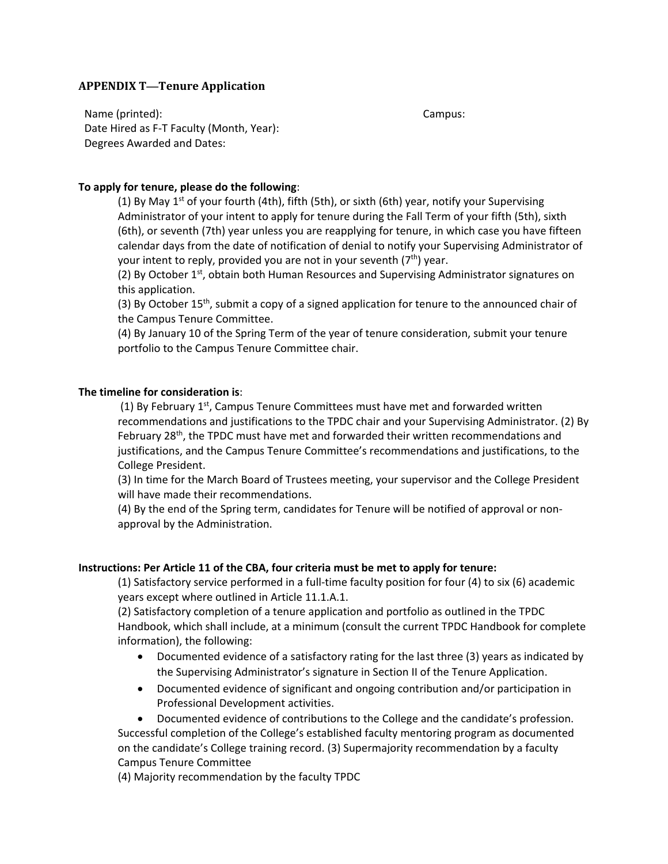## **APPENDIX T—Tenure Application**

Name (printed): The contract of the contract of the contract of the contract of the campus: Campus: Date Hired as F-T Faculty (Month, Year): Degrees Awarded and Dates:

### **To apply for tenure, please do the following**:

(1) By May 1<sup>st</sup> of your fourth (4th), fifth (5th), or sixth (6th) year, notify your Supervising Administrator of your intent to apply for tenure during the Fall Term of your fifth (5th), sixth (6th), or seventh (7th) year unless you are reapplying for tenure, in which case you have fifteen calendar days from the date of notification of denial to notify your Supervising Administrator of your intent to reply, provided you are not in your seventh  $(7<sup>th</sup>)$  year.

(2) By October  $1<sup>st</sup>$ , obtain both Human Resources and Supervising Administrator signatures on this application.

(3) By October  $15<sup>th</sup>$ , submit a copy of a signed application for tenure to the announced chair of the Campus Tenure Committee.

(4) By January 10 of the Spring Term of the year of tenure consideration, submit your tenure portfolio to the Campus Tenure Committee chair.

### **The timeline for consideration is**:

(1) By February  $1^{st}$ , Campus Tenure Committees must have met and forwarded written recommendations and justifications to the TPDC chair and your Supervising Administrator. (2) By February 28<sup>th</sup>, the TPDC must have met and forwarded their written recommendations and justifications, and the Campus Tenure Committee's recommendations and justifications, to the College President.

(3) In time for the March Board of Trustees meeting, your supervisor and the College President will have made their recommendations.

(4) By the end of the Spring term, candidates for Tenure will be notified of approval or nonapproval by the Administration.

#### **Instructions: Per Article 11 of the CBA, four criteria must be met to apply for tenure:**

(1) Satisfactory service performed in a full-time faculty position for four (4) to six (6) academic years except where outlined in Article 11.1.A.1.

(2) Satisfactory completion of a tenure application and portfolio as outlined in the TPDC Handbook, which shall include, at a minimum (consult the current TPDC Handbook for complete information), the following:

- Documented evidence of a satisfactory rating for the last three (3) years as indicated by the Supervising Administrator's signature in Section II of the Tenure Application.
- Documented evidence of significant and ongoing contribution and/or participation in Professional Development activities.

• Documented evidence of contributions to the College and the candidate's profession. Successful completion of the College's established faculty mentoring program as documented on the candidate's College training record. (3) Supermajority recommendation by a faculty Campus Tenure Committee

(4) Majority recommendation by the faculty TPDC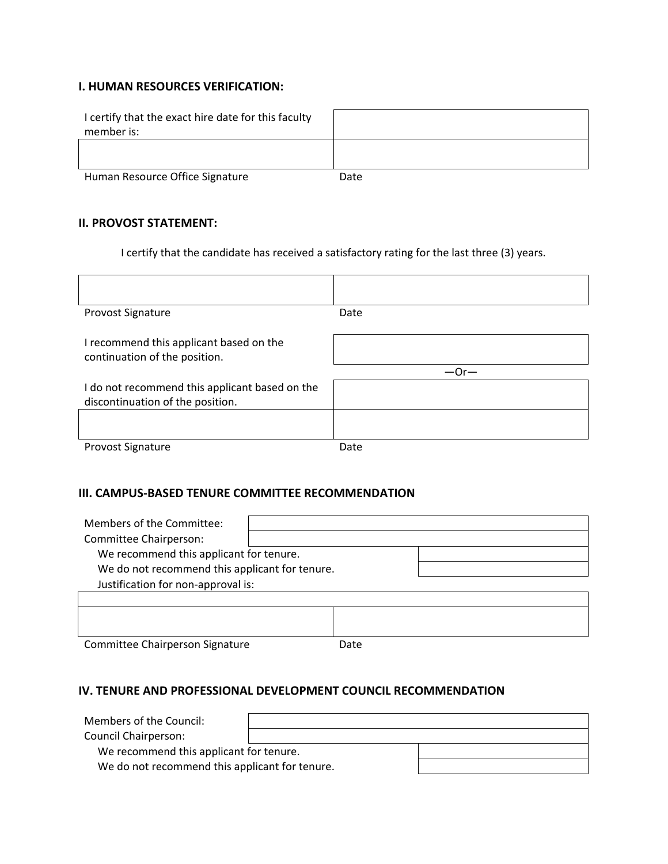## **I. HUMAN RESOURCES VERIFICATION:**

| I certify that the exact hire date for this faculty<br>member is: |      |
|-------------------------------------------------------------------|------|
|                                                                   |      |
| Human Resource Office Signature                                   | Date |

## **II. PROVOST STATEMENT:**

I certify that the candidate has received a satisfactory rating for the last three (3) years.

| <b>Provost Signature</b>                                                 | Date   |
|--------------------------------------------------------------------------|--------|
| I recommend this applicant based on the<br>continuation of the position. |        |
|                                                                          |        |
|                                                                          | $-0r-$ |
| I do not recommend this applicant based on the                           |        |
| discontinuation of the position.                                         |        |
|                                                                          |        |

## **III. CAMPUS‐BASED TENURE COMMITTEE RECOMMENDATION**

| Members of the Committee:<br>Committee Chairperson: |      |  |
|-----------------------------------------------------|------|--|
| We recommend this applicant for tenure.             |      |  |
| We do not recommend this applicant for tenure.      |      |  |
| Justification for non-approval is:                  |      |  |
|                                                     |      |  |
|                                                     |      |  |
|                                                     |      |  |
| Committee Chairperson Signature                     | Date |  |

## **IV. TENURE AND PROFESSIONAL DEVELOPMENT COUNCIL RECOMMENDATION**

| Members of the Council:                        |  |  |
|------------------------------------------------|--|--|
| <b>Council Chairperson:</b>                    |  |  |
| We recommend this applicant for tenure.        |  |  |
| We do not recommend this applicant for tenure. |  |  |